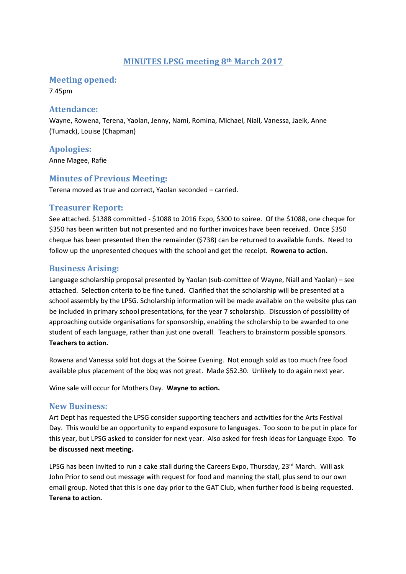## MINUTES LPSG meeting 8th March 2017

#### Meeting opened:

7.45pm

#### Attendance:

Wayne, Rowena, Terena, Yaolan, Jenny, Nami, Romina, Michael, Niall, Vanessa, Jaeik, Anne (Tumack), Louise (Chapman)

Apologies:

Anne Magee, Rafie

### Minutes of Previous Meeting:

Terena moved as true and correct, Yaolan seconded – carried.

#### Treasurer Report:

See attached. \$1388 committed - \$1088 to 2016 Expo, \$300 to soiree. Of the \$1088, one cheque for \$350 has been written but not presented and no further invoices have been received. Once \$350 cheque has been presented then the remainder (\$738) can be returned to available funds. Need to follow up the unpresented cheques with the school and get the receipt. Rowena to action.

## Business Arising:

Language scholarship proposal presented by Yaolan (sub-comittee of Wayne, Niall and Yaolan) – see attached. Selection criteria to be fine tuned. Clarified that the scholarship will be presented at a school assembly by the LPSG. Scholarship information will be made available on the website plus can be included in primary school presentations, for the year 7 scholarship. Discussion of possibility of approaching outside organisations for sponsorship, enabling the scholarship to be awarded to one student of each language, rather than just one overall. Teachers to brainstorm possible sponsors. Teachers to action.

Rowena and Vanessa sold hot dogs at the Soiree Evening. Not enough sold as too much free food available plus placement of the bbq was not great. Made \$52.30. Unlikely to do again next year.

Wine sale will occur for Mothers Day. Wayne to action.

#### New Business:

Art Dept has requested the LPSG consider supporting teachers and activities for the Arts Festival Day. This would be an opportunity to expand exposure to languages. Too soon to be put in place for this year, but LPSG asked to consider for next year. Also asked for fresh ideas for Language Expo. To be discussed next meeting.

LPSG has been invited to run a cake stall during the Careers Expo, Thursday, 23rd March. Will ask John Prior to send out message with request for food and manning the stall, plus send to our own email group. Noted that this is one day prior to the GAT Club, when further food is being requested. Terena to action.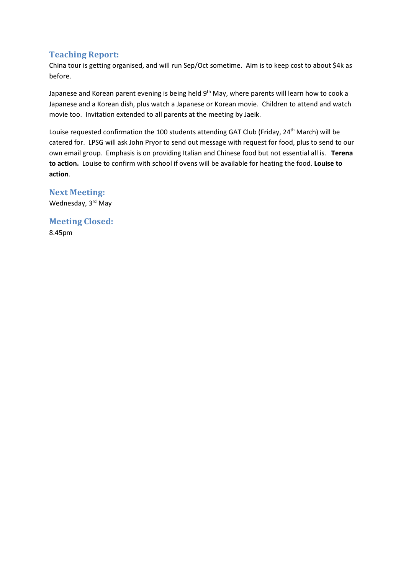## Teaching Report:

China tour is getting organised, and will run Sep/Oct sometime. Aim is to keep cost to about \$4k as before.

Japanese and Korean parent evening is being held 9<sup>th</sup> May, where parents will learn how to cook a Japanese and a Korean dish, plus watch a Japanese or Korean movie. Children to attend and watch movie too. Invitation extended to all parents at the meeting by Jaeik.

Louise requested confirmation the 100 students attending GAT Club (Friday, 24<sup>th</sup> March) will be catered for. LPSG will ask John Pryor to send out message with request for food, plus to send to our own email group. Emphasis is on providing Italian and Chinese food but not essential all is. Terena to action. Louise to confirm with school if ovens will be available for heating the food. Louise to action.

## Next Meeting:

Wednesday, 3rd May

Meeting Closed: 8.45pm